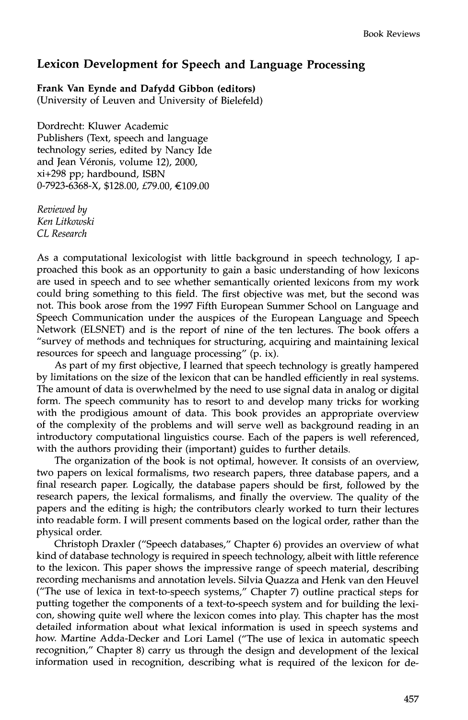## **Lexicon Development for Speech and Language Processing**

**Frank Van Eynde and Dafydd Gibbon (editors)** 

(University of Leuven and University of Bielefeld)

Dordrecht: Kluwer Academic Publishers (Text, speech and language technology series, edited by Nancy Ide and Jean Véronis, volume 12), 2000, xi+298 pp; hardbound, ISBN  $0-7923-6368-X$ , \$128.00, £79.00, €109.00

*Reviewed by Ken Litkowski CL Research* 

As a computational lexicologist with little background in speech technology, I approached this book as an opportunity to gain a basic understanding of how lexicons are used in speech and to see whether semantically oriented lexicons from my work could bring something to this field. The first objective was met, but the second was not. This book arose from the 1997 Fifth European Summer School on Language and Speech Communication under the auspices of the European Language and Speech Network (ELSNET) and is the report of nine of the ten lectures. The book offers a "survey of methods and techniques for structuring, acquiring and maintaining lexical resources for speech and language processing" (p. ix).

As part of my first objective, I learned that speech technology is greatly hampered by limitations on the size of the lexicon that can be handled efficiently in real systems. The amount of data is overwhelmed by the need to use signal data in analog or digital form. The speech community has to resort to and develop many tricks for working with the prodigious amount of data. This book provides an appropriate overview of the complexity of the problems and will serve well as background reading in an introductory computational linguistics course. Each of the papers is well referenced, with the authors providing their (important) guides to further details.

The organization of the book is not optimal, however. It consists of an overview, two papers on lexical formalisms, two research papers, three database papers, and a final research paper. Logically, the database papers should be first, followed by the research papers, the lexical formalisms, and finally the overview. The quality of the papers and the editing is high; the contributors clearly worked to turn their lectures into readable form. I will present comments based on the logical order, rather than the physical order.

Christoph Draxler ("Speech databases," Chapter 6) provides an overview of what kind of database technology is required in speech technology, albeit with little reference to the lexicon. This paper shows the impressive range of speech material, describing recording mechanisms and annotation levels. Silvia Quazza and Henk van den Heuvel ("The use of lexica in text-to-speech systems," Chapter 7) outline practical steps for putting together the components of a text-to-speech system and for building the lexicon, showing quite well where the lexicon comes into play. This chapter has the most detailed information about what lexical information is used in speech systems and how. Martine Adda-Decker and Lori Lamel ("The use of lexica in automatic speech recognition," Chapter 8) carry us through the design and development of the lexical information used in recognition, describing what is required of the lexicon for de-